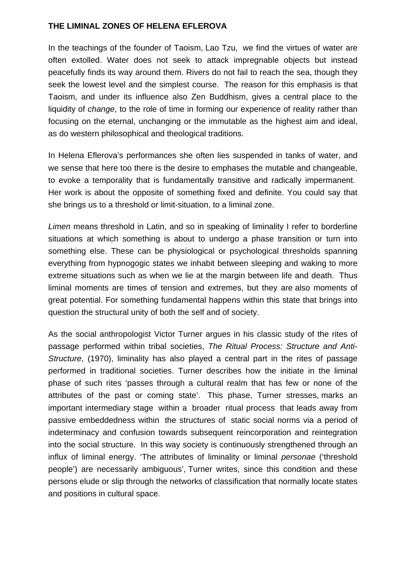## **THE LIMINAL ZONES OF HELENA EFLEROVA**

In the teachings of the founder of Taoism, Lao Tzu, we find the virtues of water are often extolled. Water does not seek to attack impregnable objects but instead peacefully finds its way around them. Rivers do not fail to reach the sea, though they seek the lowest level and the simplest course. The reason for this emphasis is that Taoism, and under its influence also Zen Buddhism, gives a central place to the liquidity of *change*, to the role of time in forming our experience of reality rather than focusing on the eternal, unchanging or the immutable as the highest aim and ideal, as do western philosophical and theological traditions.

In Helena Eflerova's performances she often lies suspended in tanks of water, and we sense that here too there is the desire to emphases the mutable and changeable, to evoke a temporality that is fundamentally transitive and radically impermanent. Her work is about the opposite of something fixed and definite. You could say that she brings us to a threshold or limit-situation, to a liminal zone.

*Limen* means threshold in Latin, and so in speaking of liminality I refer to borderline situations at which something is about to undergo a phase transition or turn into something else. These can be physiological or psychological thresholds spanning everything from hypnogogic states we inhabit between sleeping and waking to more extreme situations such as when we lie at the margin between life and death. Thus liminal moments are times of tension and extremes, but they are also moments of great potential. For something fundamental happens within this state that brings into question the structural unity of both the self and of society.

As the social anthropologist Victor Turner argues in his classic study of the rites of passage performed within tribal societies, *The Ritual Process: Structure and Anti-Structure*, (1970), liminality has also played a central part in the rites of passage performed in traditional societies. Turner describes how the initiate in the liminal phase of such rites 'passes through a cultural realm that has few or none of the attributes of the past or coming state'. This phase, Turner stresses, marks an important intermediary stage within a broader ritual process that leads away from passive embeddedness within the structures of static social norms via a period of indeterminacy and confusion towards subsequent reincorporation and reintegration into the social structure. In this way society is continuously strengthened through an influx of liminal energy. 'The attributes of liminality or liminal *personae* ('threshold people') are necessarily ambiguous', Turner writes, since this condition and these persons elude or slip through the networks of classification that normally locate states and positions in cultural space.